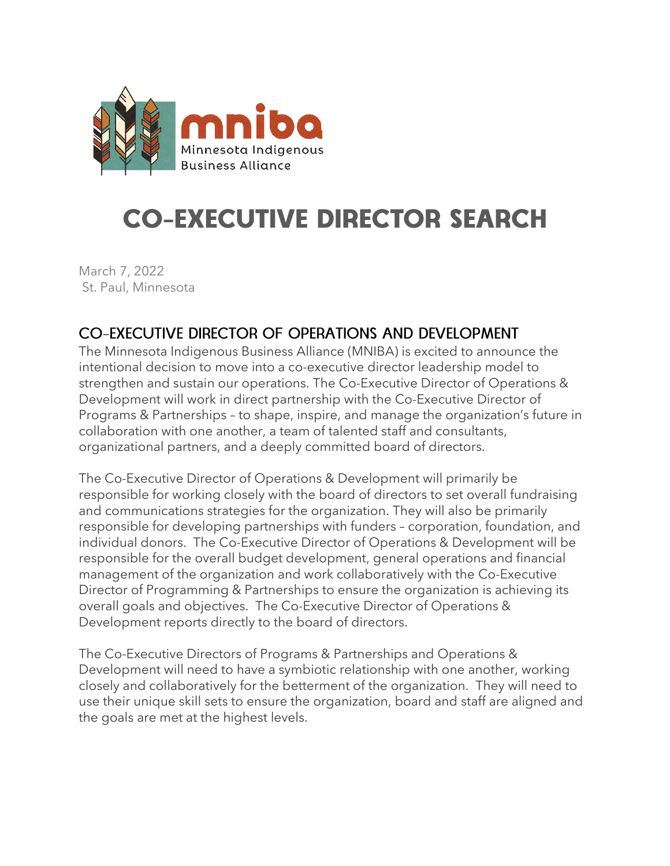

# **CO-EXECUTIVE DIRECTOR SEARCH**

March 7, 2022 St. Paul, Minnesota

# CO-EXECUTIVE DIRECTOR OF OPERATIONS AND DEVELOPMENT

The Minnesota Indigenous Business Alliance (MNIBA) is excited to announce the intentional decision to move into a co-executive director leadership model to strengthen and sustain our operations. The Co-Executive Director of Operations & Development will work in direct partnership with the Co-Executive Director of Programs & Partnerships – to shape, inspire, and manage the organization's future in collaboration with one another, a team of talented staff and consultants, organizational partners, and a deeply committed board of directors.

The Co-Executive Director of Operations & Development will primarily be responsible for working closely with the board of directors to set overall fundraising and communications strategies for the organization. They will also be primarily responsible for developing partnerships with funders – corporation, foundation, and individual donors. The Co-Executive Director of Operations & Development will be responsible for the overall budget development, general operations and financial management of the organization and work collaboratively with the Co-Executive Director of Programming & Partnerships to ensure the organization is achieving its overall goals and objectives. The Co-Executive Director of Operations & Development reports directly to the board of directors.

The Co-Executive Directors of Programs & Partnerships and Operations & Development will need to have a symbiotic relationship with one another, working closely and collaboratively for the betterment of the organization. They will need to use their unique skill sets to ensure the organization, board and staff are aligned and the goals are met at the highest levels.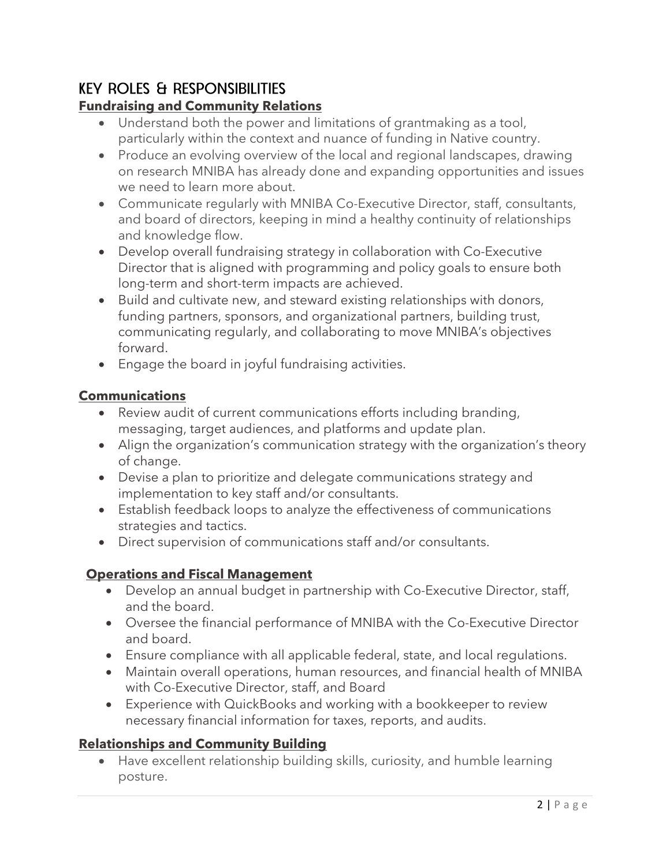# **KEY ROLES & RESPONSIBILITIES**

## **Fundraising and Community Relations**

- Understand both the power and limitations of grantmaking as a tool, particularly within the context and nuance of funding in Native country.
- Produce an evolving overview of the local and regional landscapes, drawing on research MNIBA has already done and expanding opportunities and issues we need to learn more about.
- Communicate regularly with MNIBA Co-Executive Director, staff, consultants, and board of directors, keeping in mind a healthy continuity of relationships and knowledge flow.
- Develop overall fundraising strategy in collaboration with Co-Executive Director that is aligned with programming and policy goals to ensure both long-term and short-term impacts are achieved.
- Build and cultivate new, and steward existing relationships with donors, funding partners, sponsors, and organizational partners, building trust, communicating regularly, and collaborating to move MNIBA's objectives forward.
- Engage the board in joyful fundraising activities.

#### **Communications**

- Review audit of current communications efforts including branding, messaging, target audiences, and platforms and update plan.
- Align the organization's communication strategy with the organization's theory of change.
- Devise a plan to prioritize and delegate communications strategy and implementation to key staff and/or consultants.
- Establish feedback loops to analyze the effectiveness of communications strategies and tactics.
- Direct supervision of communications staff and/or consultants.

## **Operations and Fiscal Management**

- Develop an annual budget in partnership with Co-Executive Director, staff, and the board.
- Oversee the financial performance of MNIBA with the Co-Executive Director and board.
- Ensure compliance with all applicable federal, state, and local regulations.
- Maintain overall operations, human resources, and financial health of MNIBA with Co-Executive Director, staff, and Board
- Experience with QuickBooks and working with a bookkeeper to review necessary financial information for taxes, reports, and audits.

#### **Relationships and Community Building**

• Have excellent relationship building skills, curiosity, and humble learning posture.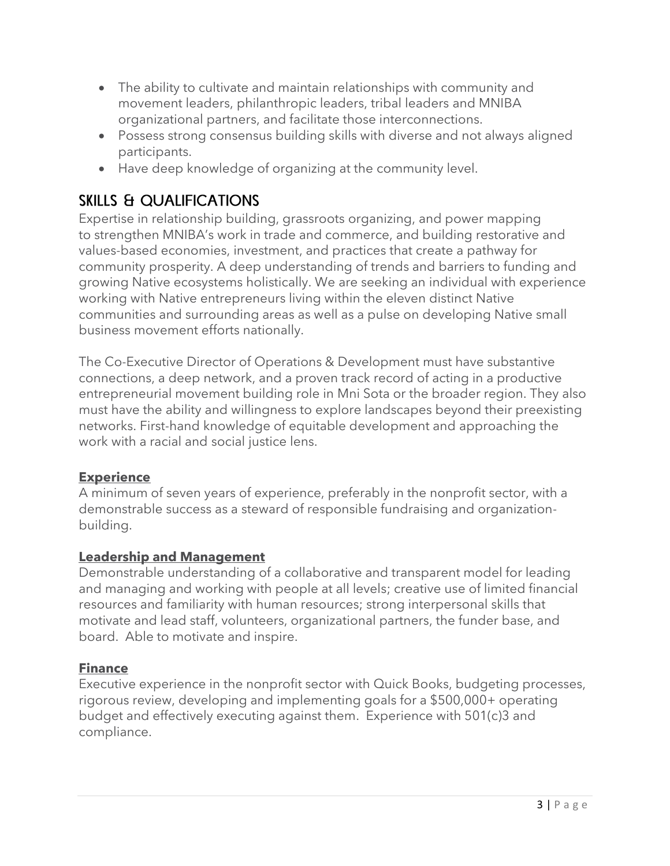- The ability to cultivate and maintain relationships with community and movement leaders, philanthropic leaders, tribal leaders and MNIBA organizational partners, and facilitate those interconnections.
- Possess strong consensus building skills with diverse and not always aligned participants.
- Have deep knowledge of organizing at the community level.

# **SKILLS & QUALIFICATIONS**

Expertise in relationship building, grassroots organizing, and power mapping to strengthen MNIBA's work in trade and commerce, and building restorative and values-based economies, investment, and practices that create a pathway for community prosperity. A deep understanding of trends and barriers to funding and growing Native ecosystems holistically. We are seeking an individual with experience working with Native entrepreneurs living within the eleven distinct Native communities and surrounding areas as well as a pulse on developing Native small business movement efforts nationally.

The Co-Executive Director of Operations & Development must have substantive connections, a deep network, and a proven track record of acting in a productive entrepreneurial movement building role in Mni Sota or the broader region. They also must have the ability and willingness to explore landscapes beyond their preexisting networks. First-hand knowledge of equitable development and approaching the work with a racial and social justice lens.

#### **Experience**

A minimum of seven years of experience, preferably in the nonprofit sector, with a demonstrable success as a steward of responsible fundraising and organizationbuilding.

#### **Leadership and Management**

Demonstrable understanding of a collaborative and transparent model for leading and managing and working with people at all levels; creative use of limited financial resources and familiarity with human resources; strong interpersonal skills that motivate and lead staff, volunteers, organizational partners, the funder base, and board. Able to motivate and inspire.

#### **Finance**

Executive experience in the nonprofit sector with Quick Books, budgeting processes, rigorous review, developing and implementing goals for a \$500,000+ operating budget and effectively executing against them. Experience with 501(c)3 and compliance.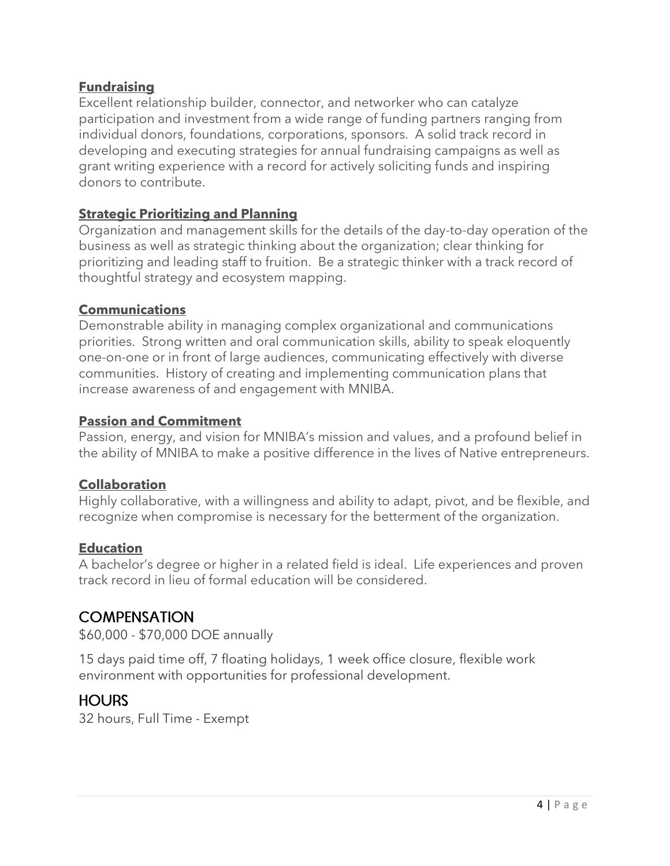#### **Fundraising**

Excellent relationship builder, connector, and networker who can catalyze participation and investment from a wide range of funding partners ranging from individual donors, foundations, corporations, sponsors. A solid track record in developing and executing strategies for annual fundraising campaigns as well as grant writing experience with a record for actively soliciting funds and inspiring donors to contribute.

#### **Strategic Prioritizing and Planning**

Organization and management skills for the details of the day-to-day operation of the business as well as strategic thinking about the organization; clear thinking for prioritizing and leading staff to fruition. Be a strategic thinker with a track record of thoughtful strategy and ecosystem mapping.

#### **Communications**

Demonstrable ability in managing complex organizational and communications priorities. Strong written and oral communication skills, ability to speak eloquently one-on-one or in front of large audiences, communicating effectively with diverse communities. History of creating and implementing communication plans that increase awareness of and engagement with MNIBA.

#### **Passion and Commitment**

Passion, energy, and vision for MNIBA's mission and values, and a profound belief in the ability of MNIBA to make a positive difference in the lives of Native entrepreneurs.

#### **Collaboration**

Highly collaborative, with a willingness and ability to adapt, pivot, and be flexible, and recognize when compromise is necessary for the betterment of the organization.

#### **Education**

A bachelor's degree or higher in a related field is ideal. Life experiences and proven track record in lieu of formal education will be considered.

## **COMPENSATION**

\$60,000 - \$70,000 DOE annually

15 days paid time off, 7 floating holidays, 1 week office closure, flexible work environment with opportunities for professional development.

## **HOURS**

32 hours, Full Time - Exempt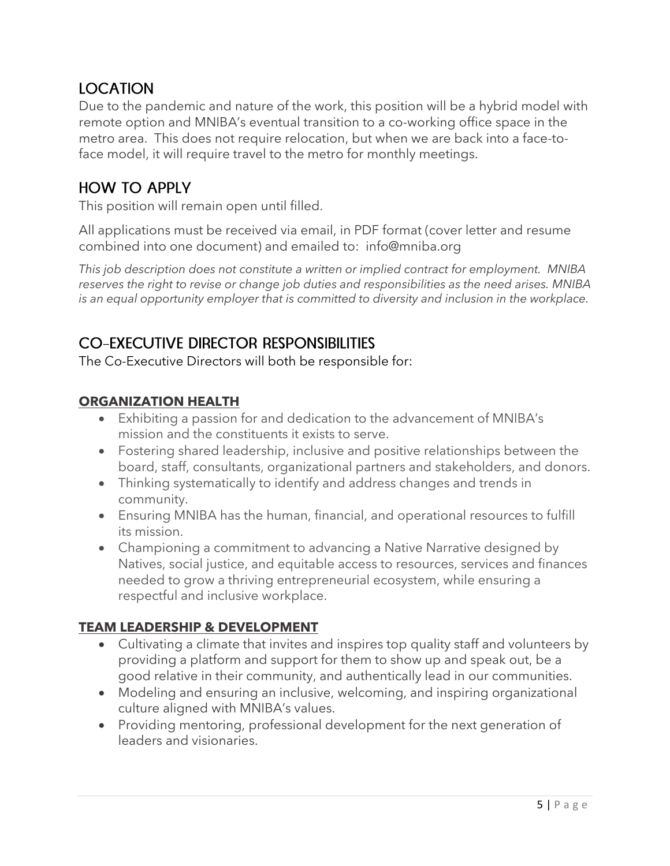## **IOCATION**

Due to the pandemic and nature of the work, this position will be a hybrid model with remote option and MNIBA's eventual transition to a co-working office space in the metro area. This does not require relocation, but when we are back into a face-toface model, it will require travel to the metro for monthly meetings.

## **HOW TO APPLY**

This position will remain open until filled.

All applications must be received via email, in PDF format (cover letter and resume combined into one document) and emailed to: info@mniba.org

*This job description does not constitute a written or implied contract for employment. MNIBA reserves the right to revise or change job duties and responsibilities as the need arises. MNIBA is an equal opportunity employer that is committed to diversity and inclusion in the workplace.* 

## **CO-EXECUTIVE DIRECTOR RESPONSIBILITIES**

The Co-Executive Directors will both be responsible for:

#### **ORGANIZATION HEALTH**

- Exhibiting a passion for and dedication to the advancement of MNIBA's mission and the constituents it exists to serve.
- Fostering shared leadership, inclusive and positive relationships between the board, staff, consultants, organizational partners and stakeholders, and donors.
- Thinking systematically to identify and address changes and trends in community.
- Ensuring MNIBA has the human, financial, and operational resources to fulfill its mission.
- Championing a commitment to advancing a Native Narrative designed by Natives, social justice, and equitable access to resources, services and finances needed to grow a thriving entrepreneurial ecosystem, while ensuring a respectful and inclusive workplace.

## **TEAM LEADERSHIP & DEVELOPMENT**

- Cultivating a climate that invites and inspires top quality staff and volunteers by providing a platform and support for them to show up and speak out, be a good relative in their community, and authentically lead in our communities.
- Modeling and ensuring an inclusive, welcoming, and inspiring organizational culture aligned with MNIBA's values.
- Providing mentoring, professional development for the next generation of leaders and visionaries.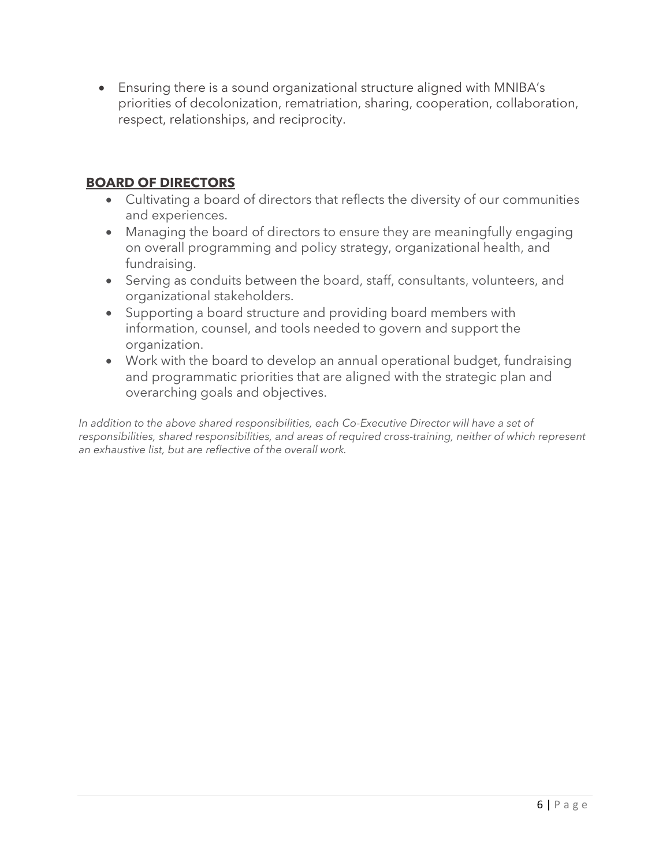• Ensuring there is a sound organizational structure aligned with MNIBA's priorities of decolonization, rematriation, sharing, cooperation, collaboration, respect, relationships, and reciprocity.

#### **BOARD OF DIRECTORS**

- Cultivating a board of directors that reflects the diversity of our communities and experiences.
- Managing the board of directors to ensure they are meaningfully engaging on overall programming and policy strategy, organizational health, and fundraising.
- Serving as conduits between the board, staff, consultants, volunteers, and organizational stakeholders.
- Supporting a board structure and providing board members with information, counsel, and tools needed to govern and support the organization.
- Work with the board to develop an annual operational budget, fundraising and programmatic priorities that are aligned with the strategic plan and overarching goals and objectives.

*In addition to the above shared responsibilities, each Co-Executive Director will have a set of responsibilities, shared responsibilities, and areas of required cross-training, neither of which represent an exhaustive list, but are reflective of the overall work.*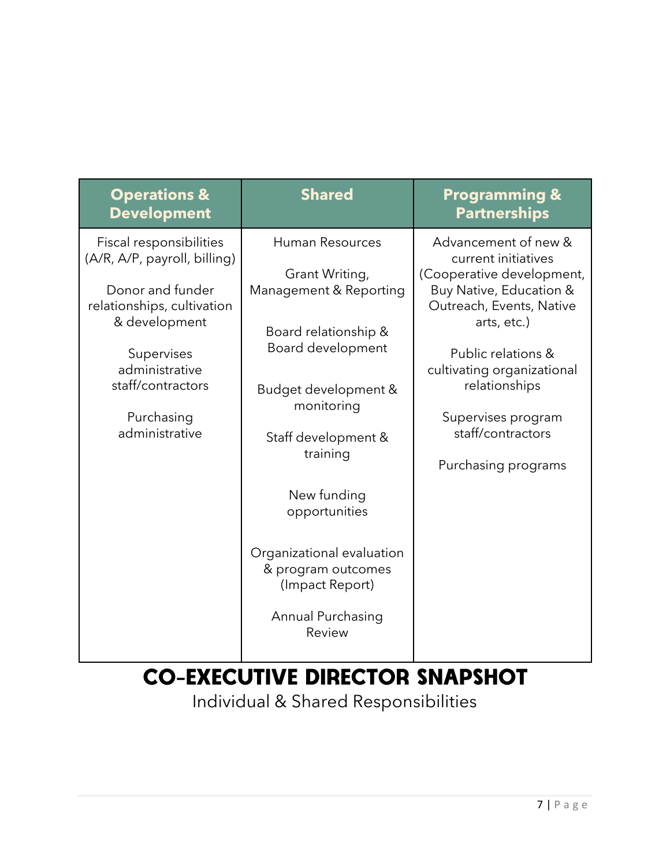| <b>Operations &amp;</b><br><b>Development</b>                                                                                                                                                                   | <b>Shared</b>                                                                                                                                                                                                                                                                                                                 | <b>Programming &amp;</b><br><b>Partnerships</b>                                                                                                                                                                                                                                       |
|-----------------------------------------------------------------------------------------------------------------------------------------------------------------------------------------------------------------|-------------------------------------------------------------------------------------------------------------------------------------------------------------------------------------------------------------------------------------------------------------------------------------------------------------------------------|---------------------------------------------------------------------------------------------------------------------------------------------------------------------------------------------------------------------------------------------------------------------------------------|
| Fiscal responsibilities<br>(A/R, A/P, payroll, billing)<br>Donor and funder<br>relationships, cultivation<br>& development<br>Supervises<br>administrative<br>staff/contractors<br>Purchasing<br>administrative | <b>Human Resources</b><br>Grant Writing,<br>Management & Reporting<br>Board relationship &<br>Board development<br>Budget development &<br>monitoring<br>Staff development &<br>training<br>New funding<br>opportunities<br>Organizational evaluation<br>& program outcomes<br>(Impact Report)<br>Annual Purchasing<br>Review | Advancement of new &<br>current initiatives<br>(Cooperative development,<br>Buy Native, Education &<br>Outreach, Events, Native<br>arts, etc.)<br>Public relations &<br>cultivating organizational<br>relationships<br>Supervises program<br>staff/contractors<br>Purchasing programs |

# **CO-EXECUTIVE DIRECTOR SNAPSHOT**

Individual & Shared Responsibilities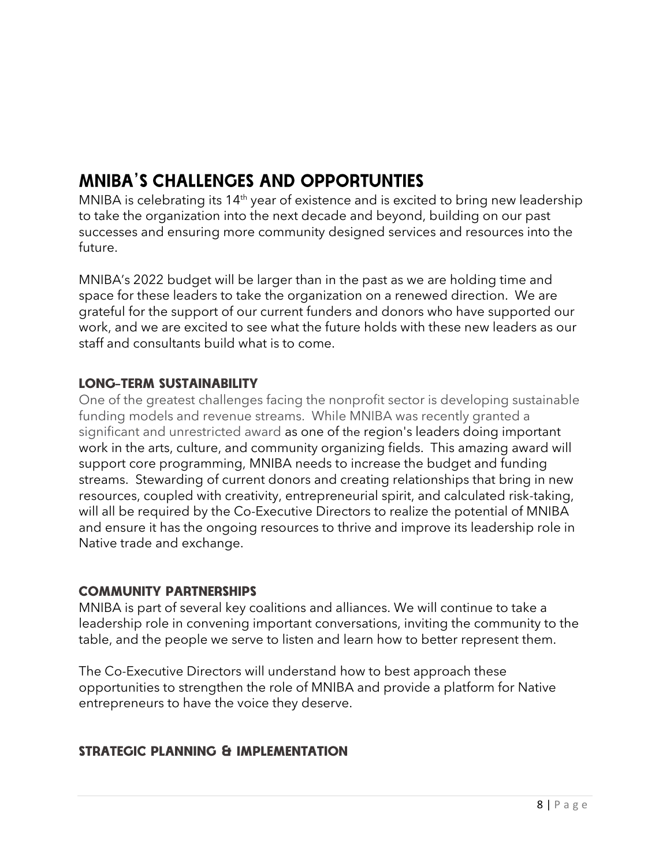# **MNIBA'S CHALLENGES AND OPPORTUNTIES**

MNIBA is celebrating its  $14<sup>th</sup>$  year of existence and is excited to bring new leadership to take the organization into the next decade and beyond, building on our past successes and ensuring more community designed services and resources into the future.

MNIBA's 2022 budget will be larger than in the past as we are holding time and space for these leaders to take the organization on a renewed direction. We are grateful for the support of our current funders and donors who have supported our work, and we are excited to see what the future holds with these new leaders as our staff and consultants build what is to come.

#### **LONG-TERM SUSTAINABILITY**

One of the greatest challenges facing the nonprofit sector is developing sustainable funding models and revenue streams. While MNIBA was recently granted a significant and unrestricted award as one of the region's leaders doing important work in the arts, culture, and community organizing fields. This amazing award will support core programming, MNIBA needs to increase the budget and funding streams. Stewarding of current donors and creating relationships that bring in new resources, coupled with creativity, entrepreneurial spirit, and calculated risk-taking, will all be required by the Co-Executive Directors to realize the potential of MNIBA and ensure it has the ongoing resources to thrive and improve its leadership role in Native trade and exchange.

#### **COMMUNITY PARTNERSHIPS**

MNIBA is part of several key coalitions and alliances. We will continue to take a leadership role in convening important conversations, inviting the community to the table, and the people we serve to listen and learn how to better represent them.

The Co-Executive Directors will understand how to best approach these opportunities to strengthen the role of MNIBA and provide a platform for Native entrepreneurs to have the voice they deserve.

## **STRATEGIC PLANNING & IMPLEMENTATION**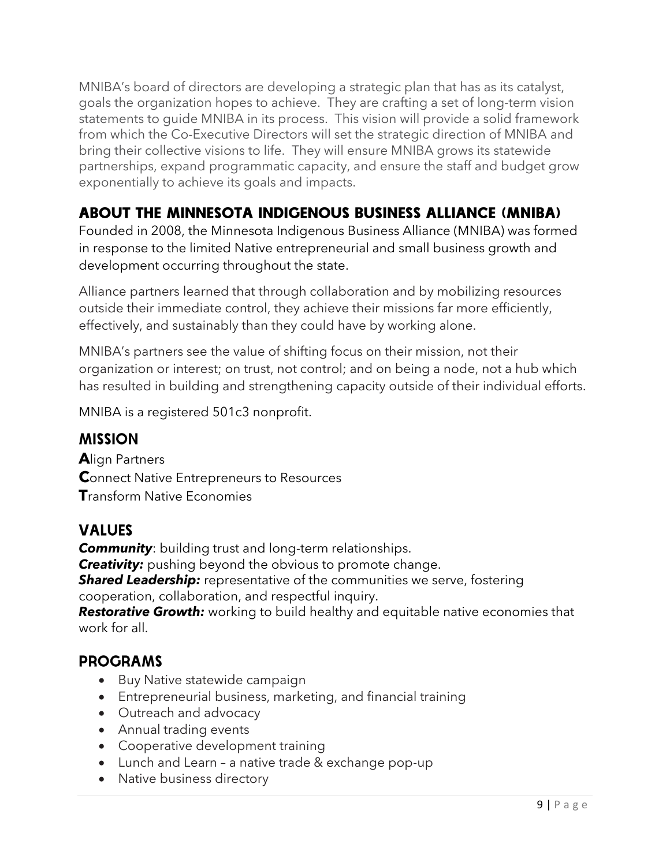MNIBA's board of directors are developing a strategic plan that has as its catalyst, goals the organization hopes to achieve. They are crafting a set of long-term vision statements to guide MNIBA in its process. This vision will provide a solid framework from which the Co-Executive Directors will set the strategic direction of MNIBA and bring their collective visions to life. They will ensure MNIBA grows its statewide partnerships, expand programmatic capacity, and ensure the staff and budget grow exponentially to achieve its goals and impacts.

# **ABOUT THE MINNESOTA INDIGENOUS BUSINESS ALLIANCE (MNIBA)**

Founded in 2008, the Minnesota Indigenous Business Alliance (MNIBA) was formed in response to the limited Native entrepreneurial and small business growth and development occurring throughout the state.

Alliance partners learned that through collaboration and by mobilizing resources outside their immediate control, they achieve their missions far more efficiently, effectively, and sustainably than they could have by working alone.

MNIBA's partners see the value of shifting focus on their mission, not their organization or interest; on trust, not control; and on being a node, not a hub which has resulted in building and strengthening capacity outside of their individual efforts.

MNIBA is a registered 501c3 nonprofit.

## **MISSION**

**A**lign Partners **Connect Native Entrepreneurs to Resources T**ransform Native Economies

## **VALUES**

*Community*: building trust and long-term relationships. *Creativity:* pushing beyond the obvious to promote change. **Shared Leadership:** representative of the communities we serve, fostering cooperation, collaboration, and respectful inquiry. *Restorative Growth:* working to build healthy and equitable native economies that work for all.

## **PROGRAMS**

- Buy Native statewide campaign
- Entrepreneurial business, marketing, and financial training
- Outreach and advocacy
- Annual trading events
- Cooperative development training
- Lunch and Learn a native trade & exchange pop-up
- Native business directory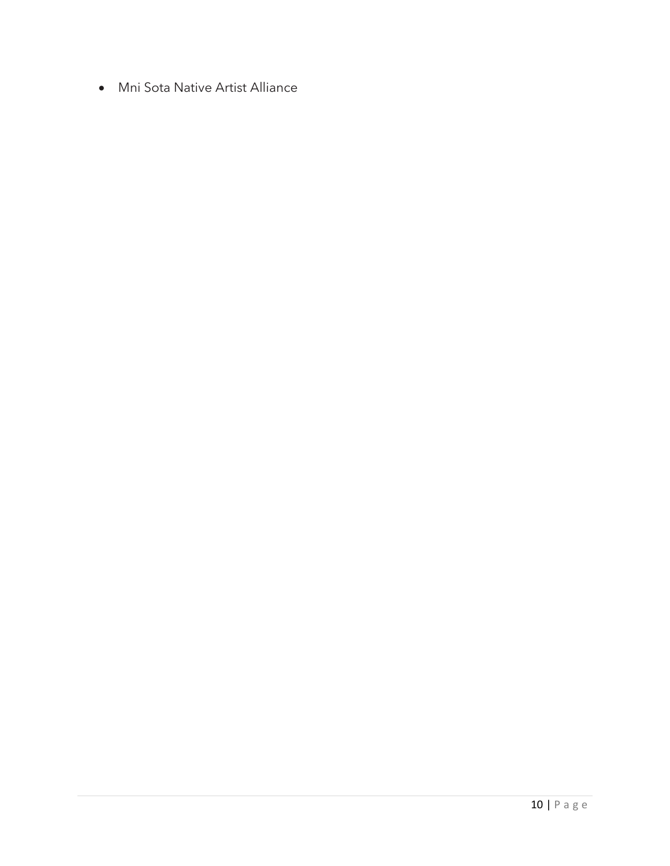• Mni Sota Native Artist Alliance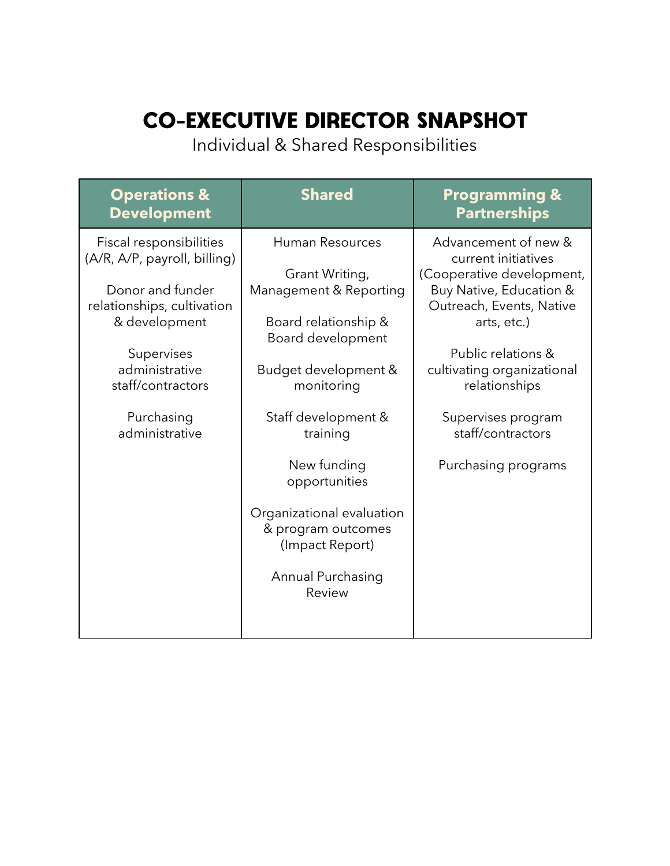# **CO-EXECUTIVE DIRECTOR SNAPSHOT**

Individual & Shared Responsibilities

| <b>Operations &amp;</b><br><b>Development</b>                                                                                                              | <b>Shared</b>                                                                                                                           | <b>Programming &amp;</b><br><b>Partnerships</b>                                                                                                                                                    |
|------------------------------------------------------------------------------------------------------------------------------------------------------------|-----------------------------------------------------------------------------------------------------------------------------------------|----------------------------------------------------------------------------------------------------------------------------------------------------------------------------------------------------|
| Fiscal responsibilities<br>(A/R, A/P, payroll, billing)<br>Donor and funder<br>relationships, cultivation<br>& development<br>Supervises<br>administrative | <b>Human Resources</b><br>Grant Writing,<br>Management & Reporting<br>Board relationship &<br>Board development<br>Budget development & | Advancement of new &<br>current initiatives<br>(Cooperative development,<br>Buy Native, Education &<br>Outreach, Events, Native<br>arts, etc.)<br>Public relations &<br>cultivating organizational |
| staff/contractors<br>Purchasing<br>administrative                                                                                                          | monitoring<br>Staff development &<br>training<br>New funding                                                                            | relationships<br>Supervises program<br>staff/contractors<br>Purchasing programs                                                                                                                    |
|                                                                                                                                                            | opportunities<br>Organizational evaluation<br>& program outcomes<br>(Impact Report)<br>Annual Purchasing                                |                                                                                                                                                                                                    |
|                                                                                                                                                            | Review                                                                                                                                  |                                                                                                                                                                                                    |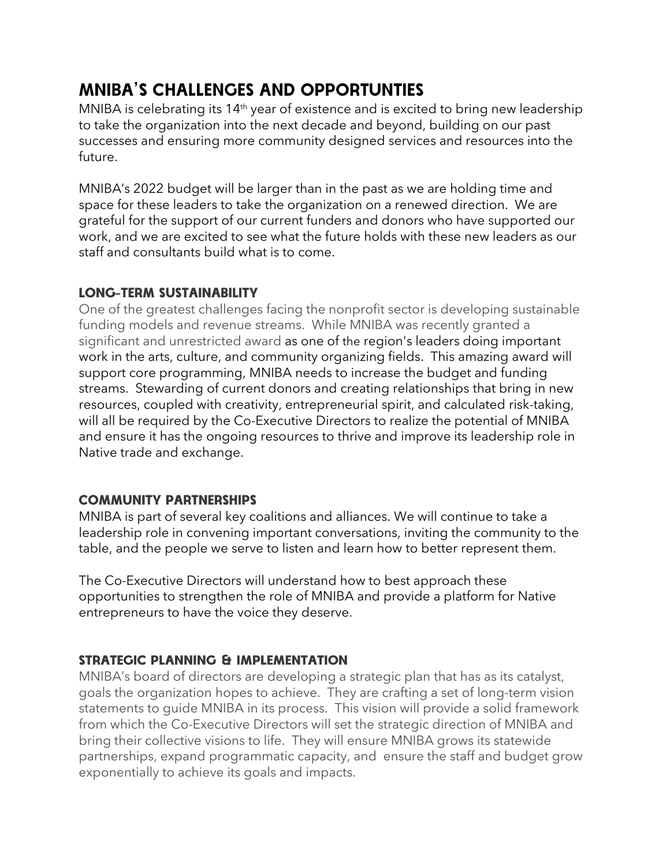# **MNIBA'S CHALLENGES AND OPPORTUNTIES**

MNIBA is celebrating its  $14<sup>th</sup>$  year of existence and is excited to bring new leadership to take the organization into the next decade and beyond, building on our past successes and ensuring more community designed services and resources into the future.

MNIBA's 2022 budget will be larger than in the past as we are holding time and space for these leaders to take the organization on a renewed direction. We are grateful for the support of our current funders and donors who have supported our work, and we are excited to see what the future holds with these new leaders as our staff and consultants build what is to come.

#### **LONG-TERM SUSTAINABILITY**

One of the greatest challenges facing the nonprofit sector is developing sustainable funding models and revenue streams. While MNIBA was recently granted a significant and unrestricted award as one of the region's leaders doing important work in the arts, culture, and community organizing fields. This amazing award will support core programming, MNIBA needs to increase the budget and funding streams. Stewarding of current donors and creating relationships that bring in new resources, coupled with creativity, entrepreneurial spirit, and calculated risk-taking, will all be required by the Co-Executive Directors to realize the potential of MNIBA and ensure it has the ongoing resources to thrive and improve its leadership role in Native trade and exchange.

## **COMMUNITY PARTNERSHIPS**

MNIBA is part of several key coalitions and alliances. We will continue to take a leadership role in convening important conversations, inviting the community to the table, and the people we serve to listen and learn how to better represent them.

The Co-Executive Directors will understand how to best approach these opportunities to strengthen the role of MNIBA and provide a platform for Native entrepreneurs to have the voice they deserve.

#### **STRATEGIC PLANNING & IMPLEMENTATION**

MNIBA's board of directors are developing a strategic plan that has as its catalyst, goals the organization hopes to achieve. They are crafting a set of long-term vision statements to guide MNIBA in its process. This vision will provide a solid framework from which the Co-Executive Directors will set the strategic direction of MNIBA and bring their collective visions to life. They will ensure MNIBA grows its statewide partnerships, expand programmatic capacity, and ensure the staff and budget grow exponentially to achieve its goals and impacts.